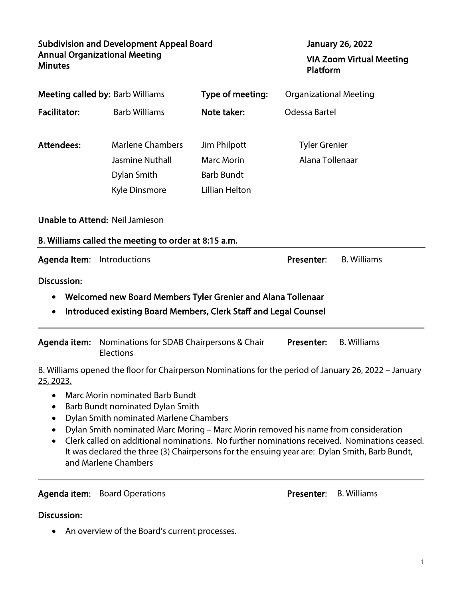| <b>Subdivision and Development Appeal Board</b><br><b>Annual Organizational Meeting</b><br><b>Minutes</b>                                              |                                                                                                                                              |                                                                                 | <b>January 26, 2022</b><br><b>VIA Zoom Virtual Meeting</b><br>Platform                                                                                                                                                                                                                                                                                                                       |
|--------------------------------------------------------------------------------------------------------------------------------------------------------|----------------------------------------------------------------------------------------------------------------------------------------------|---------------------------------------------------------------------------------|----------------------------------------------------------------------------------------------------------------------------------------------------------------------------------------------------------------------------------------------------------------------------------------------------------------------------------------------------------------------------------------------|
| <b>Meeting called by: Barb Williams</b>                                                                                                                |                                                                                                                                              | Type of meeting:                                                                | <b>Organizational Meeting</b>                                                                                                                                                                                                                                                                                                                                                                |
| <b>Facilitator:</b>                                                                                                                                    | <b>Barb Williams</b>                                                                                                                         | Note taker:                                                                     | Odessa Bartel                                                                                                                                                                                                                                                                                                                                                                                |
| <b>Attendees:</b>                                                                                                                                      | <b>Marlene Chambers</b><br><b>Jasmine Nuthall</b><br>Dylan Smith<br>Kyle Dinsmore                                                            | Jim Philpott<br><b>Marc Morin</b><br><b>Barb Bundt</b><br><b>Lillian Helton</b> | <b>Tyler Grenier</b><br>Alana Tollenaar                                                                                                                                                                                                                                                                                                                                                      |
| <b>Unable to Attend: Neil Jamieson</b><br>B. Williams called the meeting to order at 8:15 a.m.                                                         |                                                                                                                                              |                                                                                 |                                                                                                                                                                                                                                                                                                                                                                                              |
| Agenda Item: Introductions                                                                                                                             |                                                                                                                                              |                                                                                 | <b>B.</b> Williams<br>Presenter:                                                                                                                                                                                                                                                                                                                                                             |
| <b>Discussion:</b><br>Welcomed new Board Members Tyler Grenier and Alana Tollenaar<br>Introduced existing Board Members, Clerk Staff and Legal Counsel |                                                                                                                                              |                                                                                 |                                                                                                                                                                                                                                                                                                                                                                                              |
| Agenda item:                                                                                                                                           | Nominations for SDAB Chairpersons & Chair<br>Elections                                                                                       |                                                                                 | Presenter:<br><b>B.</b> Williams                                                                                                                                                                                                                                                                                                                                                             |
| 25, 2023.<br>٠                                                                                                                                         | <b>Marc Morin nominated Barb Bundt</b><br>Barb Bundt nominated Dylan Smith<br>Dylan Smith nominated Marlene Chambers<br>and Marlene Chambers |                                                                                 | B. Williams opened the floor for Chairperson Nominations for the period of January 26, 2022 - January<br>Dylan Smith nominated Marc Moring - Marc Morin removed his name from consideration<br>Clerk called on additional nominations. No further nominations received. Nominations ceased.<br>It was declared the three (3) Chairpersons for the ensuing year are: Dylan Smith, Barb Bundt, |

# Agenda item: Board Operations **Presenter: B. Williams**

### Discussion:

• An overview of the Board's current processes.